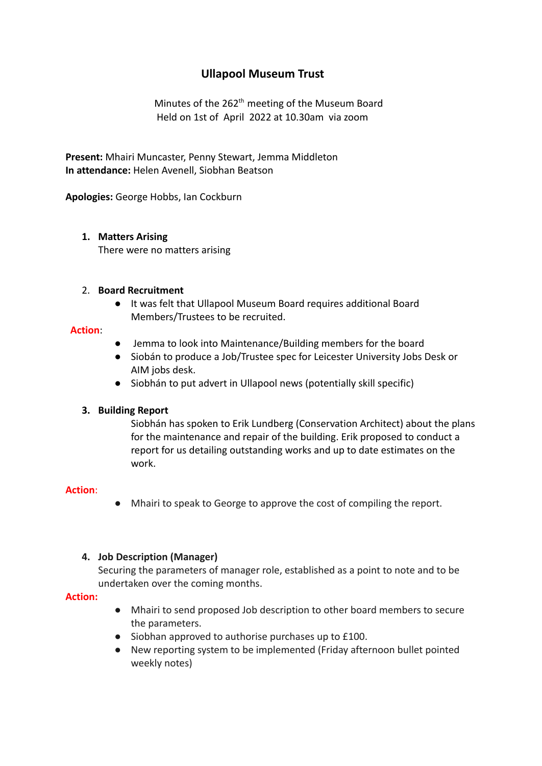# **Ullapool Museum Trust**

Minutes of the  $262<sup>th</sup>$  meeting of the Museum Board Held on 1st of April 2022 at 10.30am via zoom

**Present:** Mhairi Muncaster, Penny Stewart, Jemma Middleton **In attendance:** Helen Avenell, Siobhan Beatson

**Apologies:** George Hobbs, Ian Cockburn

# **1. Matters Arising**

There were no matters arising

## 2. **Board Recruitment**

● It was felt that Ullapool Museum Board requires additional Board Members/Trustees to be recruited.

## **Action**:

- Jemma to look into Maintenance/Building members for the board
- Siobán to produce a Job/Trustee spec for Leicester University Jobs Desk or AIM jobs desk.
- Siobhán to put advert in Ullapool news (potentially skill specific)

# **3. Building Report**

Siobhán has spoken to Erik Lundberg (Conservation Architect) about the plans for the maintenance and repair of the building. Erik proposed to conduct a report for us detailing outstanding works and up to date estimates on the work.

# **Action**:

● Mhairi to speak to George to approve the cost of compiling the report.

# **4. Job Description (Manager)**

Securing the parameters of manager role, established as a point to note and to be undertaken over the coming months.

#### **Action:**

- Mhairi to send proposed Job description to other board members to secure the parameters.
- Siobhan approved to authorise purchases up to £100.
- New reporting system to be implemented (Friday afternoon bullet pointed weekly notes)